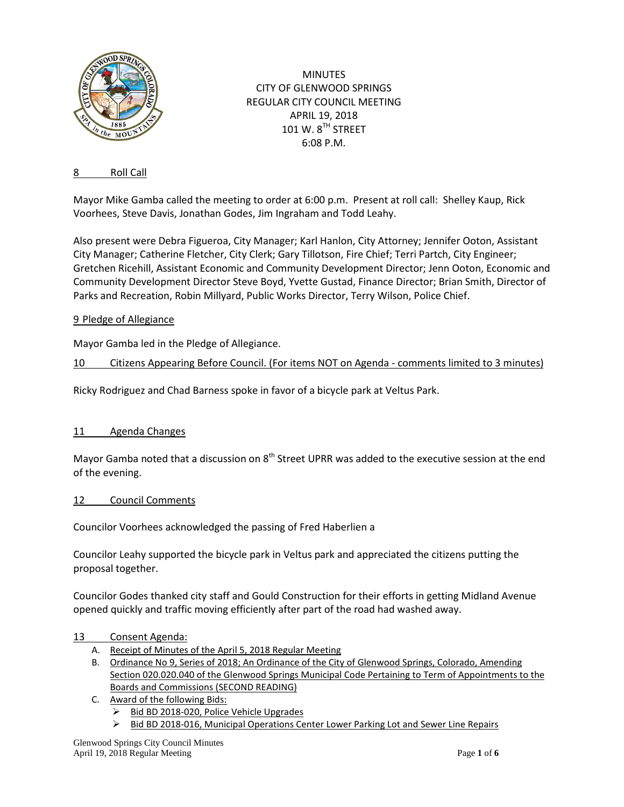

**MINUTES** CITY OF GLENWOOD SPRINGS REGULAR CITY COUNCIL MEETING APRIL 19, 2018 101 W. 8TH STREET 6:08 P.M.

## 8 Roll Call

Mayor Mike Gamba called the meeting to order at 6:00 p.m. Present at roll call: Shelley Kaup, Rick Voorhees, Steve Davis, Jonathan Godes, Jim Ingraham and Todd Leahy.

Also present were Debra Figueroa, City Manager; Karl Hanlon, City Attorney; Jennifer Ooton, Assistant City Manager; Catherine Fletcher, City Clerk; Gary Tillotson, Fire Chief; Terri Partch, City Engineer; Gretchen Ricehill, Assistant Economic and Community Development Director; Jenn Ooton, Economic and Community Development Director Steve Boyd, Yvette Gustad, Finance Director; Brian Smith, Director of Parks and Recreation, Robin Millyard, Public Works Director, Terry Wilson, Police Chief.

#### 9 Pledge of Allegiance

Mayor Gamba led in the Pledge of Allegiance.

#### 10 Citizens Appearing Before Council. (For items NOT on Agenda - comments limited to 3 minutes)

Ricky Rodriguez and Chad Barness spoke in favor of a bicycle park at Veltus Park.

#### 11 Agenda Changes

Mayor Gamba noted that a discussion on  $8<sup>th</sup>$  Street UPRR was added to the executive session at the end of the evening.

#### 12 Council Comments

Councilor Voorhees acknowledged the passing of Fred Haberlien a

Councilor Leahy supported the bicycle park in Veltus park and appreciated the citizens putting the proposal together.

Councilor Godes thanked city staff and Gould Construction for their efforts in getting Midland Avenue opened quickly and traffic moving efficiently after part of the road had washed away.

#### 13 Consent Agenda:

- A. Receipt of Minutes of the April 5, 2018 Regular Meeting
- B. Ordinance No 9, Series of 2018; An Ordinance of the City of Glenwood Springs, Colorado, Amending Section 020.020.040 of the Glenwood Springs Municipal Code Pertaining to Term of Appointments to the Boards and Commissions (SECOND READING)
- C. Award of the following Bids:
	- Bid BD 2018-020, Police Vehicle Upgrades
	- $\triangleright$  Bid BD 2018-016, Municipal Operations Center Lower Parking Lot and Sewer Line Repairs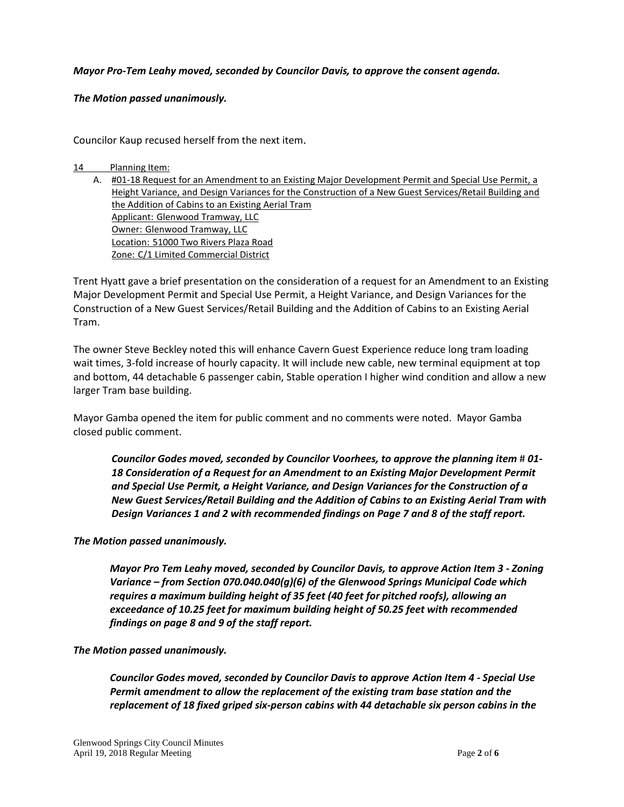## *Mayor Pro-Tem Leahy moved, seconded by Councilor Davis, to approve the consent agenda.*

## *The Motion passed unanimously.*

Councilor Kaup recused herself from the next item.

#### 14 Planning Item:

A. #01-18 Request for an Amendment to an Existing Major Development Permit and Special Use Permit, a Height Variance, and Design Variances for the Construction of a New Guest Services/Retail Building and the Addition of Cabins to an Existing Aerial Tram Applicant: Glenwood Tramway, LLC Owner: Glenwood Tramway, LLC Location: 51000 Two Rivers Plaza Road Zone: C/1 Limited Commercial District

Trent Hyatt gave a brief presentation on the consideration of a request for an Amendment to an Existing Major Development Permit and Special Use Permit, a Height Variance, and Design Variances for the Construction of a New Guest Services/Retail Building and the Addition of Cabins to an Existing Aerial Tram.

The owner Steve Beckley noted this will enhance Cavern Guest Experience reduce long tram loading wait times, 3-fold increase of hourly capacity. It will include new cable, new terminal equipment at top and bottom, 44 detachable 6 passenger cabin, Stable operation I higher wind condition and allow a new larger Tram base building.

Mayor Gamba opened the item for public comment and no comments were noted. Mayor Gamba closed public comment.

*Councilor Godes moved, seconded by Councilor Voorhees, to approve the planning item*  $\#01$ *-18 Consideration of a Request for an Amendment to an Existing Major Development Permit and Special Use Permit, a Height Variance, and Design Variances for the Construction of a New Guest Services/Retail Building and the Addition of Cabins to an Existing Aerial Tram with Design Variances 1 and 2 with recommended findings on Page 7 and 8 of the staff report.*

## *The Motion passed unanimously.*

*Mayor Pro Tem Leahy moved, seconded by Councilor Davis, to approve Action Item 3 - Zoning Variance – from Section 070.040.040(g)(6) of the Glenwood Springs Municipal Code which requires a maximum building height of 35 feet (40 feet for pitched roofs), allowing an exceedance of 10.25 feet for maximum building height of 50.25 feet with recommended findings on page 8 and 9 of the staff report.*

## *The Motion passed unanimously.*

*Councilor Godes moved, seconded by Councilor Davis to approve Action Item 4 - Special Use Permi***t** *amendment to allow the replacement of the existing tram base station and the replacement of 18 fixed griped six-person cabins with 44 detachable six person cabins in the*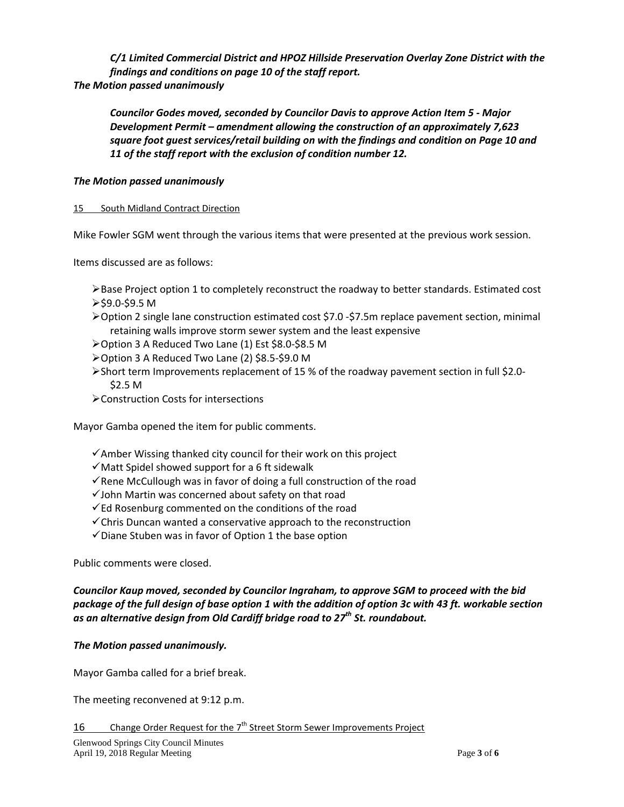*C/1 Limited Commercial District and HPOZ Hillside Preservation Overlay Zone District with the findings and conditions on page 10 of the staff report. The Motion passed unanimously*

*Councilor Godes moved, seconded by Councilor Davis to approve Action Item 5 - Major Development Permit – amendment allowing the construction of an approximately 7,623 square foot guest services/retail building on with the findings and condition on Page 10 and 11 of the staff report with the exclusion of condition number 12.*

## *The Motion passed unanimously*

## 15 South Midland Contract Direction

Mike Fowler SGM went through the various items that were presented at the previous work session.

Items discussed are as follows:

- $\triangleright$  Base Project option 1 to completely reconstruct the roadway to better standards. Estimated cost  $\ge$ \$9.0-\$9.5 M
- Option 2 single lane construction estimated cost \$7.0 -\$7.5m replace pavement section, minimal retaining walls improve storm sewer system and the least expensive
- Option 3 A Reduced Two Lane (1) Est \$8.0-\$8.5 M
- Option 3 A Reduced Two Lane (2) \$8.5-\$9.0 M
- Short term Improvements replacement of 15 % of the roadway pavement section in full \$2.0- \$2.5 M
- Construction Costs for intersections

Mayor Gamba opened the item for public comments.

- $\checkmark$  Amber Wissing thanked city council for their work on this project
- $\checkmark$  Matt Spidel showed support for a 6 ft sidewalk
- $\checkmark$  Rene McCullough was in favor of doing a full construction of the road
- $\checkmark$  John Martin was concerned about safety on that road
- $\checkmark$  Ed Rosenburg commented on the conditions of the road
- $\checkmark$  Chris Duncan wanted a conservative approach to the reconstruction
- $\checkmark$  Diane Stuben was in favor of Option 1 the base option

Public comments were closed.

# *Councilor Kaup moved, seconded by Councilor Ingraham, to approve SGM to proceed with the bid package of the full design of base option 1 with the addition of option 3c with 43 ft. workable section as an alternative design from Old Cardiff bridge road to 27th St. roundabout.*

# *The Motion passed unanimously.*

Mayor Gamba called for a brief break.

The meeting reconvened at 9:12 p.m.

16 Change Order Request for the  $7<sup>th</sup>$  Street Storm Sewer Improvements Project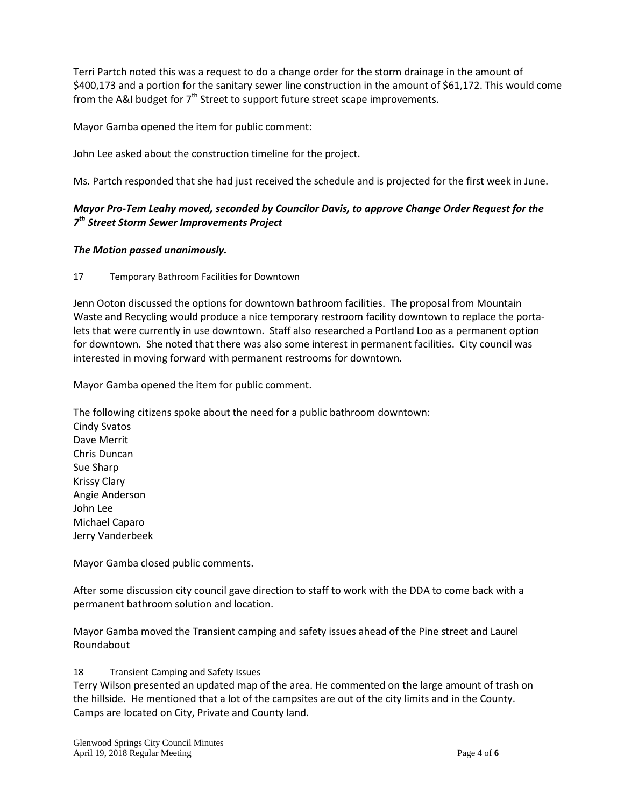Terri Partch noted this was a request to do a change order for the storm drainage in the amount of \$400,173 and a portion for the sanitary sewer line construction in the amount of \$61,172. This would come from the A&I budget for  $7<sup>th</sup>$  Street to support future street scape improvements.

Mayor Gamba opened the item for public comment:

John Lee asked about the construction timeline for the project.

Ms. Partch responded that she had just received the schedule and is projected for the first week in June.

# *Mayor Pro-Tem Leahy moved, seconded by Councilor Davis, to approve Change Order Request for the 7th Street Storm Sewer Improvements Project*

## *The Motion passed unanimously.*

## 17 Temporary Bathroom Facilities for Downtown

Jenn Ooton discussed the options for downtown bathroom facilities. The proposal from Mountain Waste and Recycling would produce a nice temporary restroom facility downtown to replace the portalets that were currently in use downtown. Staff also researched a Portland Loo as a permanent option for downtown. She noted that there was also some interest in permanent facilities. City council was interested in moving forward with permanent restrooms for downtown.

Mayor Gamba opened the item for public comment.

The following citizens spoke about the need for a public bathroom downtown: Cindy Svatos Dave Merrit Chris Duncan Sue Sharp Krissy Clary Angie Anderson John Lee Michael Caparo Jerry Vanderbeek

Mayor Gamba closed public comments.

After some discussion city council gave direction to staff to work with the DDA to come back with a permanent bathroom solution and location.

Mayor Gamba moved the Transient camping and safety issues ahead of the Pine street and Laurel Roundabout

18 Transient Camping and Safety Issues

Terry Wilson presented an updated map of the area. He commented on the large amount of trash on the hillside. He mentioned that a lot of the campsites are out of the city limits and in the County. Camps are located on City, Private and County land.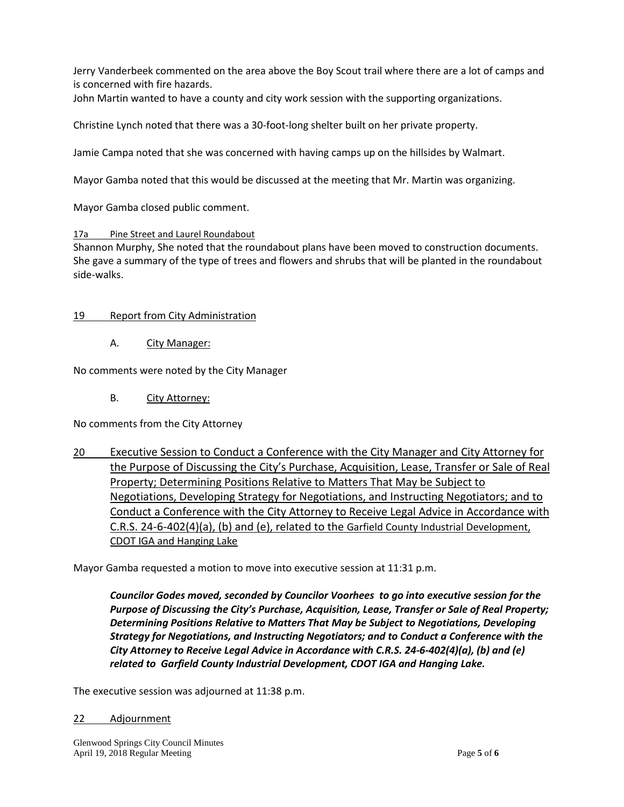Jerry Vanderbeek commented on the area above the Boy Scout trail where there are a lot of camps and is concerned with fire hazards.

John Martin wanted to have a county and city work session with the supporting organizations.

Christine Lynch noted that there was a 30-foot-long shelter built on her private property.

Jamie Campa noted that she was concerned with having camps up on the hillsides by Walmart.

Mayor Gamba noted that this would be discussed at the meeting that Mr. Martin was organizing.

Mayor Gamba closed public comment.

## 17a Pine Street and Laurel Roundabout

Shannon Murphy, She noted that the roundabout plans have been moved to construction documents. She gave a summary of the type of trees and flowers and shrubs that will be planted in the roundabout side-walks.

## 19 Report from City Administration

## A. City Manager:

No comments were noted by the City Manager

B. City Attorney:

No comments from the City Attorney

20 Executive Session to Conduct a Conference with the City Manager and City Attorney for the Purpose of Discussing the City's Purchase, Acquisition, Lease, Transfer or Sale of Real Property; Determining Positions Relative to Matters That May be Subject to Negotiations, Developing Strategy for Negotiations, and Instructing Negotiators; and to Conduct a Conference with the City Attorney to Receive Legal Advice in Accordance with C.R.S. 24-6-402(4)(a), (b) and (e), related to the Garfield County Industrial Development, CDOT IGA and Hanging Lake

Mayor Gamba requested a motion to move into executive session at 11:31 p.m.

*Councilor Godes moved, seconded by Councilor Voorhees to go into executive session for the Purpose of Discussing the City's Purchase, Acquisition, Lease, Transfer or Sale of Real Property; Determining Positions Relative to Matters That May be Subject to Negotiations, Developing Strategy for Negotiations, and Instructing Negotiators; and to Conduct a Conference with the City Attorney to Receive Legal Advice in Accordance with C.R.S. 24-6-402(4)(a), (b) and (e) related to Garfield County Industrial Development, CDOT IGA and Hanging Lake.*

The executive session was adjourned at 11:38 p.m.

#### 22 Adjournment

Glenwood Springs City Council Minutes April 19, 2018 Regular Meeting **Page 5** of **6 Page 5** of **6**